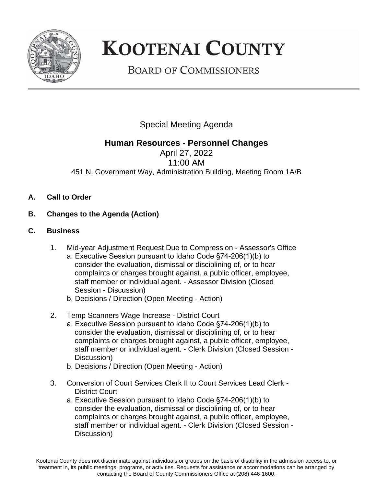

## **KOOTENAI COUNTY**

**BOARD OF COMMISSIONERS** 

Special Meeting Agenda

## **Human Resources - Personnel Changes**

April 27, 2022 11:00 AM 451 N. Government Way, Administration Building, Meeting Room 1A/B

- **A. Call to Order**
- **B. Changes to the Agenda (Action)**
- **C. Business**
	- 1. Mid-year Adjustment Request Due to Compression Assessor's Office a. Executive Session pursuant to Idaho Code §74-206(1)(b) to consider the evaluation, dismissal or disciplining of, or to hear complaints or charges brought against, a public officer, employee, staff member or individual agent. - Assessor Division (Closed Session - Discussion)
		- b. Decisions / Direction (Open Meeting Action)
	- 2. Temp Scanners Wage Increase District Court
		- a. Executive Session pursuant to Idaho Code §74-206(1)(b) to consider the evaluation, dismissal or disciplining of, or to hear complaints or charges brought against, a public officer, employee, staff member or individual agent. - Clerk Division (Closed Session - Discussion)
		- b. Decisions / Direction (Open Meeting Action)
	- 3. Conversion of Court Services Clerk II to Court Services Lead Clerk District Court
		- a. Executive Session pursuant to Idaho Code §74-206(1)(b) to consider the evaluation, dismissal or disciplining of, or to hear complaints or charges brought against, a public officer, employee, staff member or individual agent. - Clerk Division (Closed Session - Discussion)

Kootenai County does not discriminate against individuals or groups on the basis of disability in the admission access to, or treatment in, its public meetings, programs, or activities. Requests for assistance or accommodations can be arranged by contacting the Board of County Commissioners Office at (208) 446-1600.